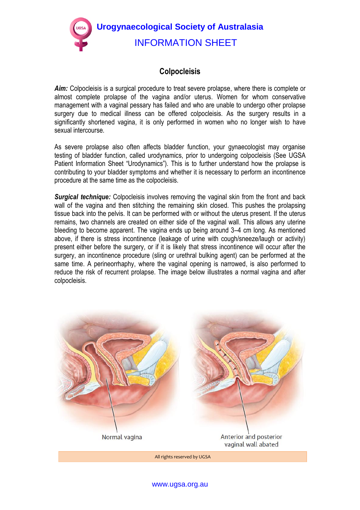**Urogynaecological Society of Australasia**  INFORMATION SHEET

## **Colpocleisis**

*Aim:* Colpocleisis is a surgical procedure to treat severe prolapse, where there is complete or almost complete prolapse of the vagina and/or uterus. Women for whom conservative management with a vaginal pessary has failed and who are unable to undergo other prolapse surgery due to medical illness can be offered colpocleisis. As the surgery results in a significantly shortened vagina, it is only performed in women who no longer wish to have sexual intercourse.

As severe prolapse also often affects bladder function, your gynaecologist may organise testing of bladder function, called urodynamics, prior to undergoing colpocleisis (See UGSA Patient Information Sheet "Urodynamics"). This is to further understand how the prolapse is contributing to your bladder symptoms and whether it is necessary to perform an incontinence procedure at the same time as the colpocleisis.

*Surgical technique:* Colpocleisis involves removing the vaginal skin from the front and back wall of the vagina and then stitching the remaining skin closed. This pushes the prolapsing tissue back into the pelvis. It can be performed with or without the uterus present. If the uterus remains, two channels are created on either side of the vaginal wall. This allows any uterine bleeding to become apparent. The vagina ends up being around 3–4 cm long. As mentioned above, if there is stress incontinence (leakage of urine with cough/sneeze/laugh or activity) present either before the surgery, or if it is likely that stress incontinence will occur after the surgery, an incontinence procedure (sling or urethral bulking agent) can be performed at the same time. A perineorrhaphy, where the vaginal opening is narrowed, is also performed to reduce the risk of recurrent prolapse. The image below illustrates a normal vagina and after colpocleisis.



All rights reserved by UGSA